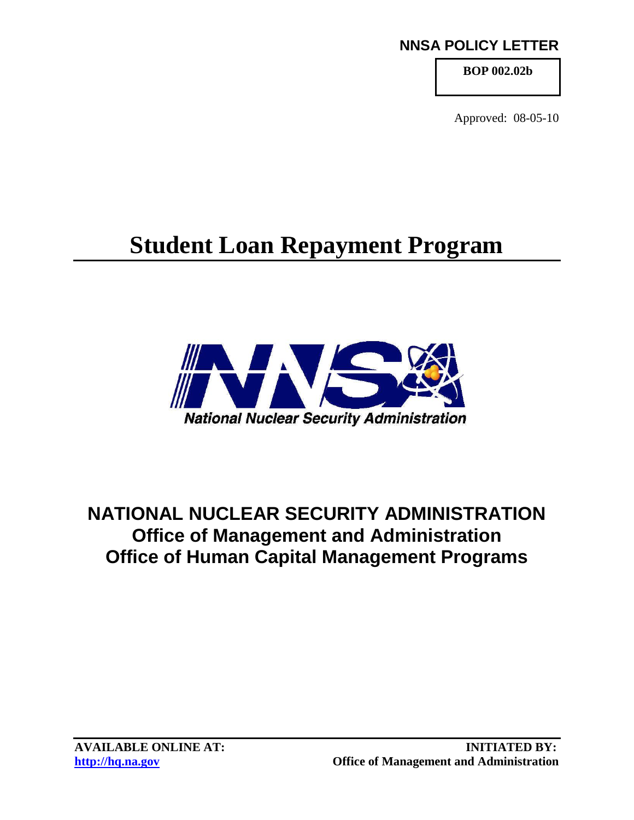# **NNSA POLICY LETTER**

**BOP 002.02b**

Approved: 08-05-10

# **Student Loan Repayment Program**



# **NATIONAL NUCLEAR SECURITY ADMINISTRATION Office of Management and Administration Office of Human Capital Management Programs**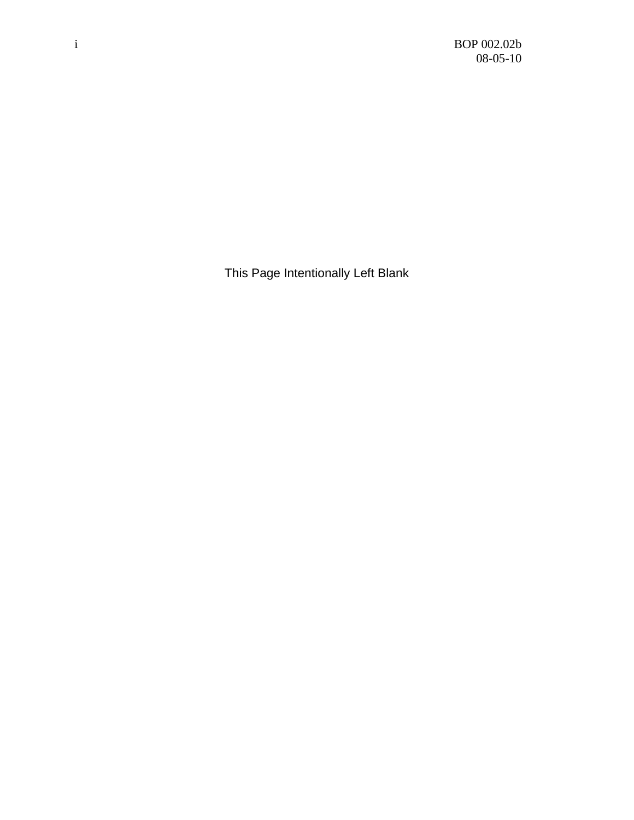This Page Intentionally Left Blank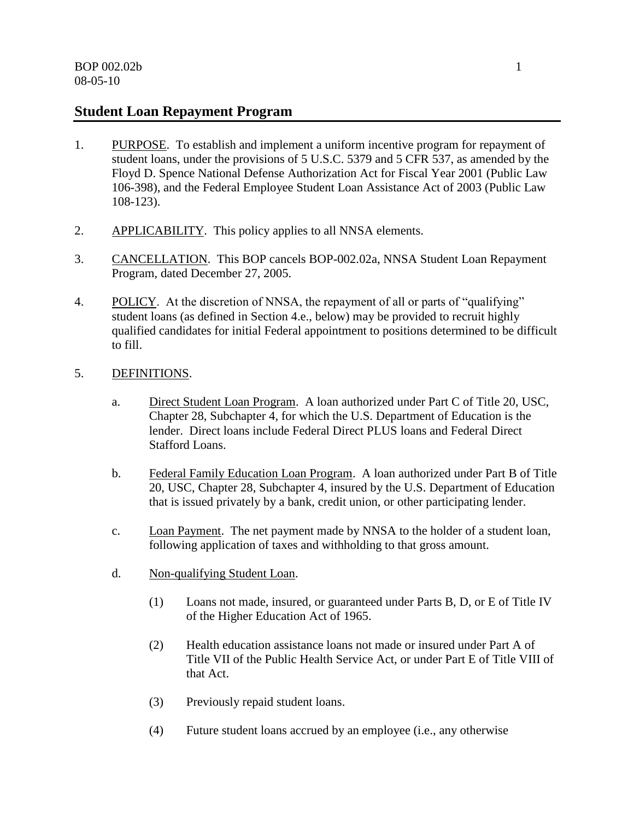# **Student Loan Repayment Program**

- 1. PURPOSE. To establish and implement a uniform incentive program for repayment of student loans, under the provisions of 5 U.S.C. 5379 and 5 CFR 537, as amended by the Floyd D. Spence National Defense Authorization Act for Fiscal Year 2001 (Public Law 106-398), and the Federal Employee Student Loan Assistance Act of 2003 (Public Law 108-123).
- 2. APPLICABILITY. This policy applies to all NNSA elements.
- 3. CANCELLATION. This BOP cancels BOP-002.02a, NNSA Student Loan Repayment Program, dated December 27, 2005.
- 4. POLICY. At the discretion of NNSA, the repayment of all or parts of "qualifying" student loans (as defined in Section 4.e., below) may be provided to recruit highly qualified candidates for initial Federal appointment to positions determined to be difficult to fill.

### 5. DEFINITIONS.

- a. Direct Student Loan Program. A loan authorized under Part C of Title 20, USC, Chapter 28, Subchapter 4, for which the U.S. Department of Education is the lender. Direct loans include Federal Direct PLUS loans and Federal Direct Stafford Loans.
- b. Federal Family Education Loan Program. A loan authorized under Part B of Title 20, USC, Chapter 28, Subchapter 4, insured by the U.S. Department of Education that is issued privately by a bank, credit union, or other participating lender.
- c. Loan Payment. The net payment made by NNSA to the holder of a student loan, following application of taxes and withholding to that gross amount.
- d. Non-qualifying Student Loan.
	- (1) Loans not made, insured, or guaranteed under Parts B, D, or E of Title IV of the Higher Education Act of 1965.
	- (2) Health education assistance loans not made or insured under Part A of Title VII of the Public Health Service Act, or under Part E of Title VIII of that Act.
	- (3) Previously repaid student loans.
	- (4) Future student loans accrued by an employee (i.e., any otherwise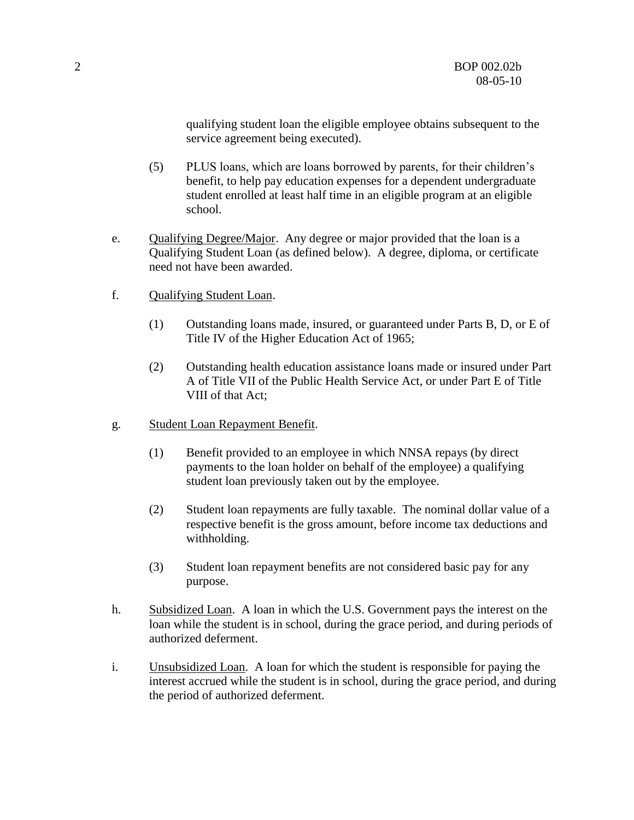qualifying student loan the eligible employee obtains subsequent to the service agreement being executed).

- (5) PLUS loans, which are loans borrowed by parents, for their children's benefit, to help pay education expenses for a dependent undergraduate student enrolled at least half time in an eligible program at an eligible school.
- e. Qualifying Degree/Major. Any degree or major provided that the loan is a Qualifying Student Loan (as defined below). A degree, diploma, or certificate need not have been awarded.
- f. Qualifying Student Loan.
	- (1) Outstanding loans made, insured, or guaranteed under Parts B, D, or E of Title IV of the Higher Education Act of 1965;
	- (2) Outstanding health education assistance loans made or insured under Part A of Title VII of the Public Health Service Act, or under Part E of Title VIII of that Act;
- g. Student Loan Repayment Benefit.
	- (1) Benefit provided to an employee in which NNSA repays (by direct payments to the loan holder on behalf of the employee) a qualifying student loan previously taken out by the employee.
	- (2) Student loan repayments are fully taxable. The nominal dollar value of a respective benefit is the gross amount, before income tax deductions and withholding.
	- (3) Student loan repayment benefits are not considered basic pay for any purpose.
- h. Subsidized Loan. A loan in which the U.S. Government pays the interest on the loan while the student is in school, during the grace period, and during periods of authorized deferment.
- i. Unsubsidized Loan. A loan for which the student is responsible for paying the interest accrued while the student is in school, during the grace period, and during the period of authorized deferment.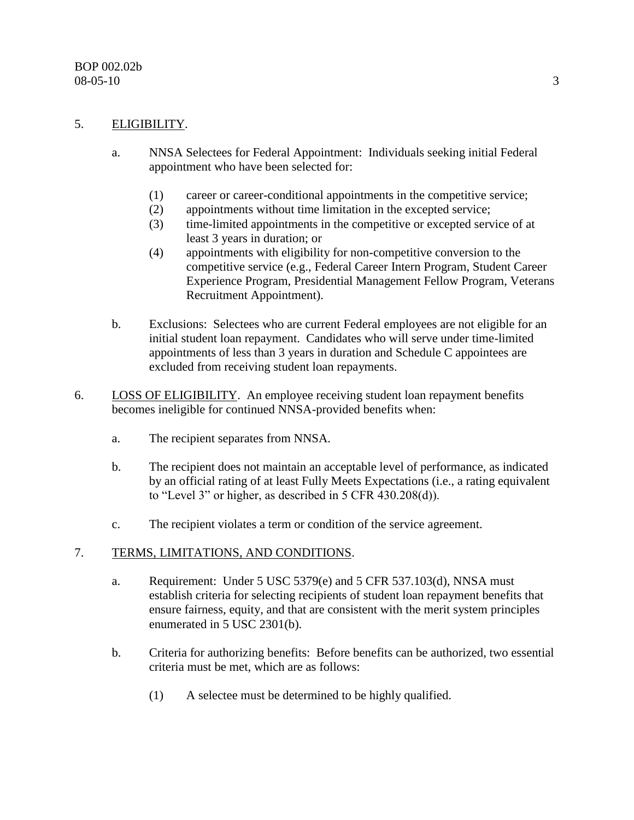### 5. ELIGIBILITY.

- a. NNSA Selectees for Federal Appointment: Individuals seeking initial Federal appointment who have been selected for:
	- (1) career or career-conditional appointments in the competitive service;
	- (2) appointments without time limitation in the excepted service;
	- (3) time-limited appointments in the competitive or excepted service of at least 3 years in duration; or
	- (4) appointments with eligibility for non-competitive conversion to the competitive service (e.g., Federal Career Intern Program, Student Career Experience Program, Presidential Management Fellow Program, Veterans Recruitment Appointment).
- b. Exclusions: Selectees who are current Federal employees are not eligible for an initial student loan repayment. Candidates who will serve under time-limited appointments of less than 3 years in duration and Schedule C appointees are excluded from receiving student loan repayments.
- 6. LOSS OF ELIGIBILITY. An employee receiving student loan repayment benefits becomes ineligible for continued NNSA-provided benefits when:
	- a. The recipient separates from NNSA.
	- b. The recipient does not maintain an acceptable level of performance, as indicated by an official rating of at least Fully Meets Expectations (i.e., a rating equivalent to "Level 3" or higher, as described in 5 CFR 430.208(d)).
	- c. The recipient violates a term or condition of the service agreement.

## 7. TERMS, LIMITATIONS, AND CONDITIONS.

- a. Requirement: Under 5 USC 5379(e) and 5 CFR 537.103(d), NNSA must establish criteria for selecting recipients of student loan repayment benefits that ensure fairness, equity, and that are consistent with the merit system principles enumerated in 5 USC 2301(b).
- b. Criteria for authorizing benefits: Before benefits can be authorized, two essential criteria must be met, which are as follows:
	- (1) A selectee must be determined to be highly qualified.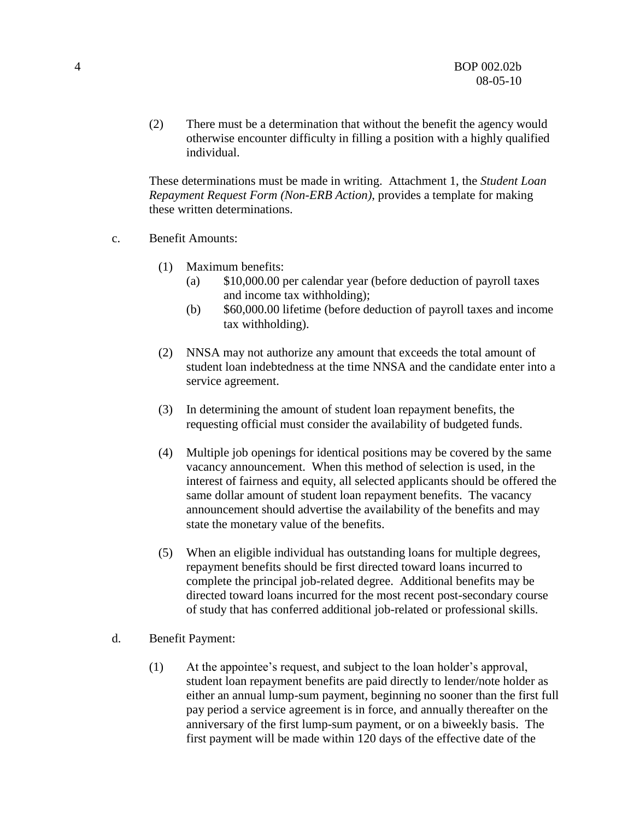(2) There must be a determination that without the benefit the agency would otherwise encounter difficulty in filling a position with a highly qualified individual.

These determinations must be made in writing. Attachment 1, the *Student Loan Repayment Request Form (Non-ERB Action)*, provides a template for making these written determinations.

- c. Benefit Amounts:
	- (1) Maximum benefits:
		- (a) \$10,000.00 per calendar year (before deduction of payroll taxes and income tax withholding);
		- (b) \$60,000.00 lifetime (before deduction of payroll taxes and income tax withholding).
	- (2) NNSA may not authorize any amount that exceeds the total amount of student loan indebtedness at the time NNSA and the candidate enter into a service agreement.
	- (3) In determining the amount of student loan repayment benefits, the requesting official must consider the availability of budgeted funds.
	- (4) Multiple job openings for identical positions may be covered by the same vacancy announcement. When this method of selection is used, in the interest of fairness and equity, all selected applicants should be offered the same dollar amount of student loan repayment benefits. The vacancy announcement should advertise the availability of the benefits and may state the monetary value of the benefits.
	- (5) When an eligible individual has outstanding loans for multiple degrees, repayment benefits should be first directed toward loans incurred to complete the principal job-related degree. Additional benefits may be directed toward loans incurred for the most recent post-secondary course of study that has conferred additional job-related or professional skills.
- d. Benefit Payment:
	- (1) At the appointee's request, and subject to the loan holder's approval, student loan repayment benefits are paid directly to lender/note holder as either an annual lump-sum payment, beginning no sooner than the first full pay period a service agreement is in force, and annually thereafter on the anniversary of the first lump-sum payment, or on a biweekly basis. The first payment will be made within 120 days of the effective date of the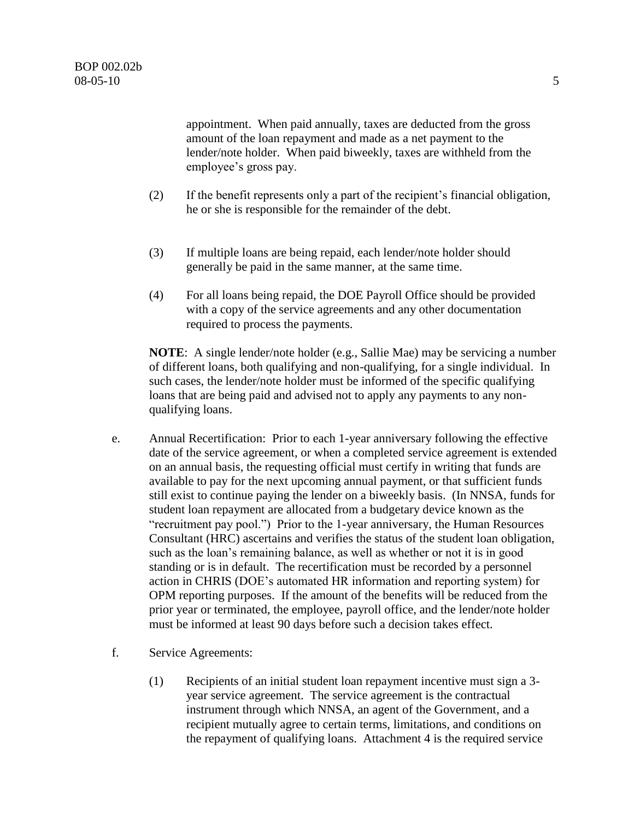appointment. When paid annually, taxes are deducted from the gross amount of the loan repayment and made as a net payment to the lender/note holder. When paid biweekly, taxes are withheld from the employee's gross pay.

- (2) If the benefit represents only a part of the recipient's financial obligation, he or she is responsible for the remainder of the debt.
- (3) If multiple loans are being repaid, each lender/note holder should generally be paid in the same manner, at the same time.
- (4) For all loans being repaid, the DOE Payroll Office should be provided with a copy of the service agreements and any other documentation required to process the payments.

**NOTE**: A single lender/note holder (e.g., Sallie Mae) may be servicing a number of different loans, both qualifying and non-qualifying, for a single individual. In such cases, the lender/note holder must be informed of the specific qualifying loans that are being paid and advised not to apply any payments to any nonqualifying loans.

- e. Annual Recertification: Prior to each 1-year anniversary following the effective date of the service agreement, or when a completed service agreement is extended on an annual basis, the requesting official must certify in writing that funds are available to pay for the next upcoming annual payment, or that sufficient funds still exist to continue paying the lender on a biweekly basis. (In NNSA, funds for student loan repayment are allocated from a budgetary device known as the "recruitment pay pool.") Prior to the 1-year anniversary, the Human Resources Consultant (HRC) ascertains and verifies the status of the student loan obligation, such as the loan's remaining balance, as well as whether or not it is in good standing or is in default. The recertification must be recorded by a personnel action in CHRIS (DOE's automated HR information and reporting system) for OPM reporting purposes. If the amount of the benefits will be reduced from the prior year or terminated, the employee, payroll office, and the lender/note holder must be informed at least 90 days before such a decision takes effect.
- f. Service Agreements:
	- (1) Recipients of an initial student loan repayment incentive must sign a 3 year service agreement. The service agreement is the contractual instrument through which NNSA, an agent of the Government, and a recipient mutually agree to certain terms, limitations, and conditions on the repayment of qualifying loans. Attachment 4 is the required service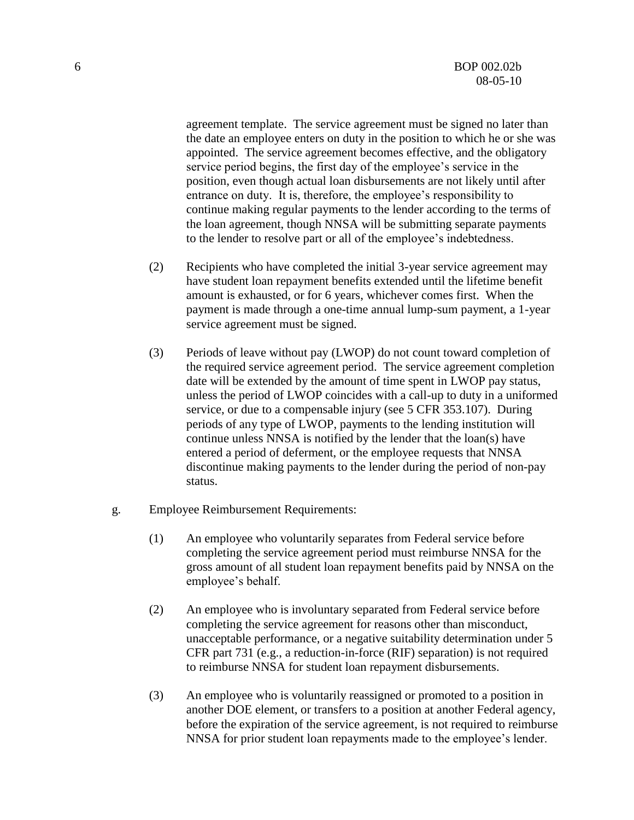agreement template. The service agreement must be signed no later than the date an employee enters on duty in the position to which he or she was appointed. The service agreement becomes effective, and the obligatory service period begins, the first day of the employee's service in the position, even though actual loan disbursements are not likely until after entrance on duty. It is, therefore, the employee's responsibility to continue making regular payments to the lender according to the terms of the loan agreement, though NNSA will be submitting separate payments to the lender to resolve part or all of the employee's indebtedness.

- (2) Recipients who have completed the initial 3-year service agreement may have student loan repayment benefits extended until the lifetime benefit amount is exhausted, or for 6 years, whichever comes first. When the payment is made through a one-time annual lump-sum payment, a 1-year service agreement must be signed.
- (3) Periods of leave without pay (LWOP) do not count toward completion of the required service agreement period. The service agreement completion date will be extended by the amount of time spent in LWOP pay status, unless the period of LWOP coincides with a call-up to duty in a uniformed service, or due to a compensable injury (see 5 CFR 353.107). During periods of any type of LWOP, payments to the lending institution will continue unless NNSA is notified by the lender that the loan(s) have entered a period of deferment, or the employee requests that NNSA discontinue making payments to the lender during the period of non-pay status.
- g. Employee Reimbursement Requirements:
	- (1) An employee who voluntarily separates from Federal service before completing the service agreement period must reimburse NNSA for the gross amount of all student loan repayment benefits paid by NNSA on the employee's behalf.
	- (2) An employee who is involuntary separated from Federal service before completing the service agreement for reasons other than misconduct, unacceptable performance, or a negative suitability determination under 5 CFR part 731 (e.g., a reduction-in-force (RIF) separation) is not required to reimburse NNSA for student loan repayment disbursements.
	- (3) An employee who is voluntarily reassigned or promoted to a position in another DOE element, or transfers to a position at another Federal agency, before the expiration of the service agreement, is not required to reimburse NNSA for prior student loan repayments made to the employee's lender.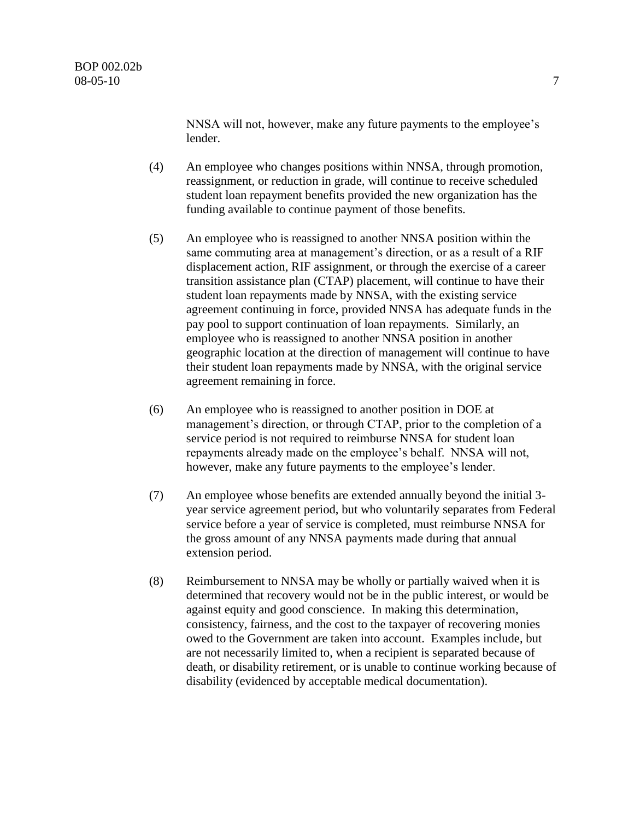NNSA will not, however, make any future payments to the employee's lender.

- (4) An employee who changes positions within NNSA, through promotion, reassignment, or reduction in grade, will continue to receive scheduled student loan repayment benefits provided the new organization has the funding available to continue payment of those benefits.
- (5) An employee who is reassigned to another NNSA position within the same commuting area at management's direction, or as a result of a RIF displacement action, RIF assignment, or through the exercise of a career transition assistance plan (CTAP) placement, will continue to have their student loan repayments made by NNSA, with the existing service agreement continuing in force, provided NNSA has adequate funds in the pay pool to support continuation of loan repayments. Similarly, an employee who is reassigned to another NNSA position in another geographic location at the direction of management will continue to have their student loan repayments made by NNSA, with the original service agreement remaining in force.
- (6) An employee who is reassigned to another position in DOE at management's direction, or through CTAP, prior to the completion of a service period is not required to reimburse NNSA for student loan repayments already made on the employee's behalf. NNSA will not, however, make any future payments to the employee's lender.
- (7) An employee whose benefits are extended annually beyond the initial 3 year service agreement period, but who voluntarily separates from Federal service before a year of service is completed, must reimburse NNSA for the gross amount of any NNSA payments made during that annual extension period.
- (8) Reimbursement to NNSA may be wholly or partially waived when it is determined that recovery would not be in the public interest, or would be against equity and good conscience. In making this determination, consistency, fairness, and the cost to the taxpayer of recovering monies owed to the Government are taken into account. Examples include, but are not necessarily limited to, when a recipient is separated because of death, or disability retirement, or is unable to continue working because of disability (evidenced by acceptable medical documentation).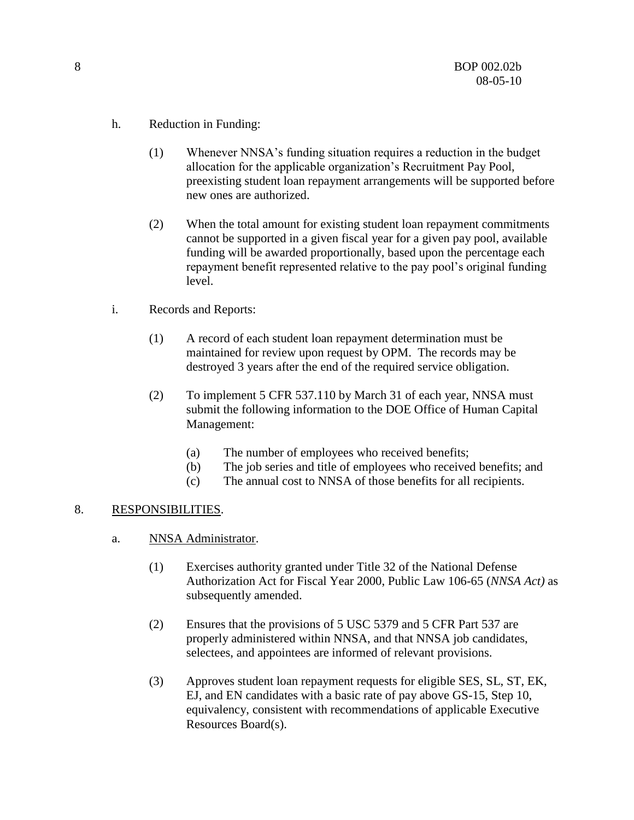- h. Reduction in Funding:
	- (1) Whenever NNSA's funding situation requires a reduction in the budget allocation for the applicable organization's Recruitment Pay Pool, preexisting student loan repayment arrangements will be supported before new ones are authorized.
	- (2) When the total amount for existing student loan repayment commitments cannot be supported in a given fiscal year for a given pay pool, available funding will be awarded proportionally, based upon the percentage each repayment benefit represented relative to the pay pool's original funding level.
- i. Records and Reports:
	- (1) A record of each student loan repayment determination must be maintained for review upon request by OPM. The records may be destroyed 3 years after the end of the required service obligation.
	- (2) To implement 5 CFR 537.110 by March 31 of each year, NNSA must submit the following information to the DOE Office of Human Capital Management:
		- (a) The number of employees who received benefits;
		- (b) The job series and title of employees who received benefits; and
		- (c) The annual cost to NNSA of those benefits for all recipients.

### 8. RESPONSIBILITIES.

- a. NNSA Administrator.
	- (1) Exercises authority granted under Title 32 of the National Defense Authorization Act for Fiscal Year 2000, Public Law 106-65 (*NNSA Act)* as subsequently amended.
	- (2) Ensures that the provisions of 5 USC 5379 and 5 CFR Part 537 are properly administered within NNSA, and that NNSA job candidates, selectees, and appointees are informed of relevant provisions.
	- (3) Approves student loan repayment requests for eligible SES, SL, ST, EK, EJ, and EN candidates with a basic rate of pay above GS-15, Step 10, equivalency, consistent with recommendations of applicable Executive Resources Board(s).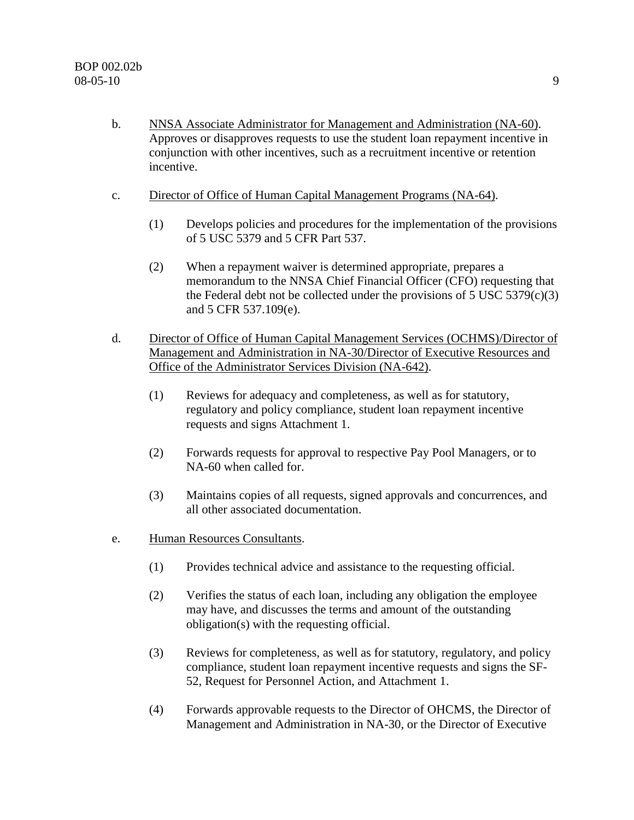- b. NNSA Associate Administrator for Management and Administration (NA-60). Approves or disapproves requests to use the student loan repayment incentive in conjunction with other incentives, such as a recruitment incentive or retention incentive.
- c. Director of Office of Human Capital Management Programs (NA-64).
	- (1) Develops policies and procedures for the implementation of the provisions of 5 USC 5379 and 5 CFR Part 537.
	- (2) When a repayment waiver is determined appropriate, prepares a memorandum to the NNSA Chief Financial Officer (CFO) requesting that the Federal debt not be collected under the provisions of  $5 \text{ USC } 5379(c)(3)$ and 5 CFR 537.109(e).
- d. Director of Office of Human Capital Management Services (OCHMS)/Director of Management and Administration in NA-30/Director of Executive Resources and Office of the Administrator Services Division (NA-642).
	- (1) Reviews for adequacy and completeness, as well as for statutory, regulatory and policy compliance, student loan repayment incentive requests and signs Attachment 1.
	- (2) Forwards requests for approval to respective Pay Pool Managers, or to NA-60 when called for.
	- (3) Maintains copies of all requests, signed approvals and concurrences, and all other associated documentation.
- e. Human Resources Consultants.
	- (1) Provides technical advice and assistance to the requesting official.
	- (2) Verifies the status of each loan, including any obligation the employee may have, and discusses the terms and amount of the outstanding obligation(s) with the requesting official.
	- (3) Reviews for completeness, as well as for statutory, regulatory, and policy compliance, student loan repayment incentive requests and signs the SF-52, Request for Personnel Action, and Attachment 1.
	- (4) Forwards approvable requests to the Director of OHCMS, the Director of Management and Administration in NA-30, or the Director of Executive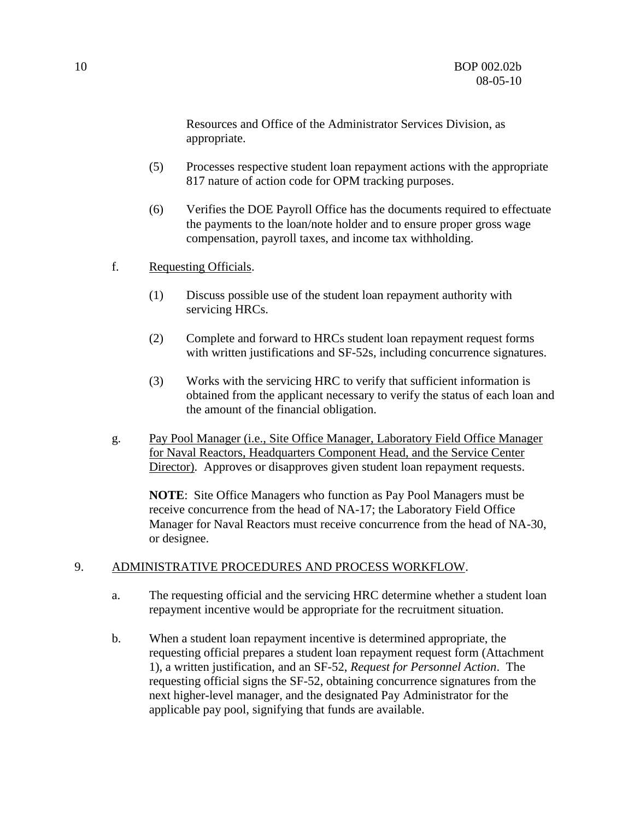Resources and Office of the Administrator Services Division, as appropriate.

- (5) Processes respective student loan repayment actions with the appropriate 817 nature of action code for OPM tracking purposes.
- (6) Verifies the DOE Payroll Office has the documents required to effectuate the payments to the loan/note holder and to ensure proper gross wage compensation, payroll taxes, and income tax withholding.
- f. Requesting Officials.
	- (1) Discuss possible use of the student loan repayment authority with servicing HRCs.
	- (2) Complete and forward to HRCs student loan repayment request forms with written justifications and SF-52s, including concurrence signatures.
	- (3) Works with the servicing HRC to verify that sufficient information is obtained from the applicant necessary to verify the status of each loan and the amount of the financial obligation.
- g. Pay Pool Manager (i.e., Site Office Manager, Laboratory Field Office Manager for Naval Reactors, Headquarters Component Head, and the Service Center Director). Approves or disapproves given student loan repayment requests.

**NOTE**: Site Office Managers who function as Pay Pool Managers must be receive concurrence from the head of NA-17; the Laboratory Field Office Manager for Naval Reactors must receive concurrence from the head of NA-30, or designee.

## 9. ADMINISTRATIVE PROCEDURES AND PROCESS WORKFLOW.

- a. The requesting official and the servicing HRC determine whether a student loan repayment incentive would be appropriate for the recruitment situation.
- b. When a student loan repayment incentive is determined appropriate, the requesting official prepares a student loan repayment request form (Attachment 1), a written justification, and an SF-52, *Request for Personnel Action*. The requesting official signs the SF-52, obtaining concurrence signatures from the next higher-level manager, and the designated Pay Administrator for the applicable pay pool, signifying that funds are available.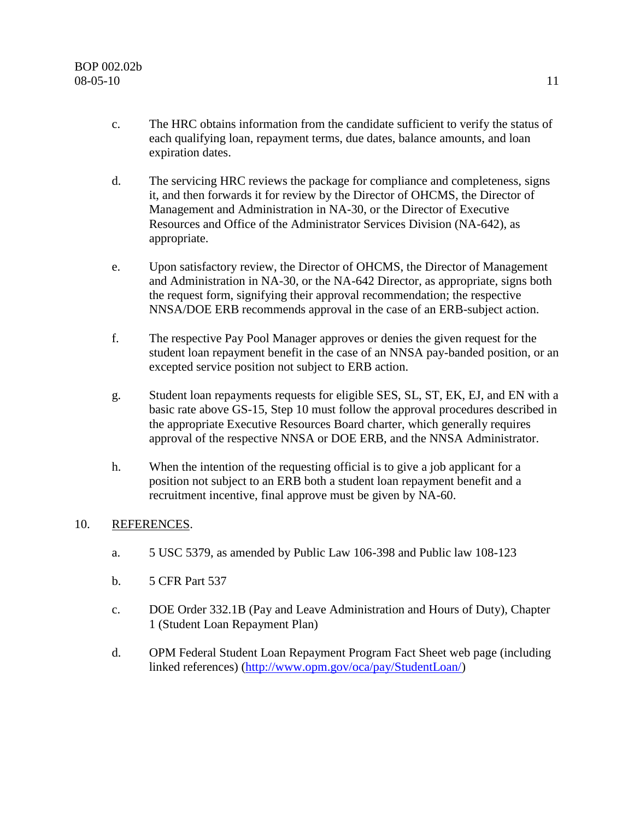- c. The HRC obtains information from the candidate sufficient to verify the status of each qualifying loan, repayment terms, due dates, balance amounts, and loan expiration dates.
- d. The servicing HRC reviews the package for compliance and completeness, signs it, and then forwards it for review by the Director of OHCMS, the Director of Management and Administration in NA-30, or the Director of Executive Resources and Office of the Administrator Services Division (NA-642), as appropriate.
- e. Upon satisfactory review, the Director of OHCMS, the Director of Management and Administration in NA-30, or the NA-642 Director, as appropriate, signs both the request form, signifying their approval recommendation; the respective NNSA/DOE ERB recommends approval in the case of an ERB-subject action.
- f. The respective Pay Pool Manager approves or denies the given request for the student loan repayment benefit in the case of an NNSA pay-banded position, or an excepted service position not subject to ERB action.
- g. Student loan repayments requests for eligible SES, SL, ST, EK, EJ, and EN with a basic rate above GS-15, Step 10 must follow the approval procedures described in the appropriate Executive Resources Board charter, which generally requires approval of the respective NNSA or DOE ERB, and the NNSA Administrator.
- h. When the intention of the requesting official is to give a job applicant for a position not subject to an ERB both a student loan repayment benefit and a recruitment incentive, final approve must be given by NA-60.

### 10. REFERENCES.

- a. 5 USC 5379, as amended by Public Law 106-398 and Public law 108-123
- b. 5 CFR Part 537
- c. DOE Order 332.1B (Pay and Leave Administration and Hours of Duty), Chapter 1 (Student Loan Repayment Plan)
- d. OPM Federal Student Loan Repayment Program Fact Sheet web page (including linked references) [\(http://www.opm.gov/oca/pay/StudentLoan/\)](http://www.opm.gov/oca/pay/StudentLoan/)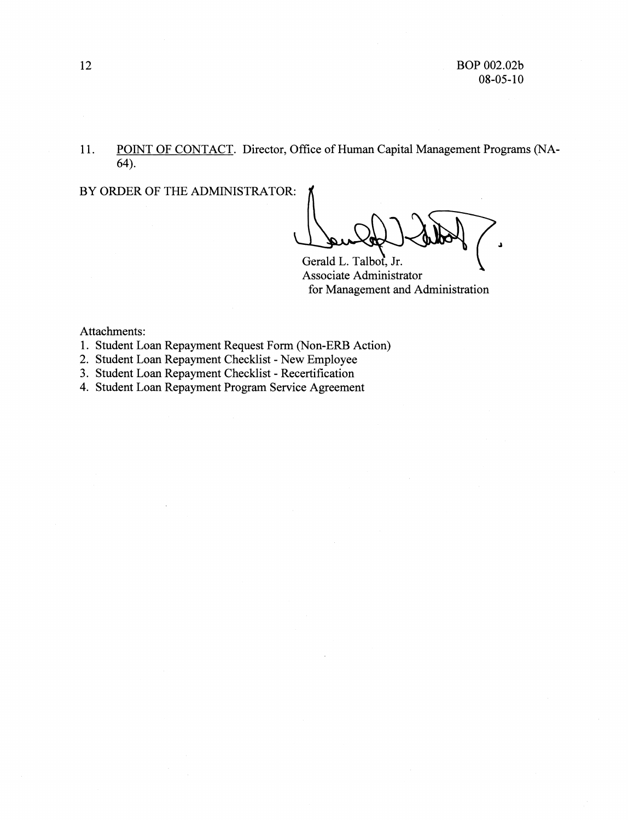11. POINT OF CONTACT. Director, Office of Human Capital Management Programs (NA-64).

BY ORDER OF THE ADMINISTRATOR:

 $\mathbf{I}$ 

Gerald L. Talbot, Jr. Associate Administrator for Management and Administration

Attachments:

- 1. Student Loan Repayment Request Form (Non-ERB Action)
- 2. Student Loan Repayment Checklist New Employee
- 3. Student Loan Repayment Checklist- Recertification
- 4. Student Loan Repayment Program Service Agreement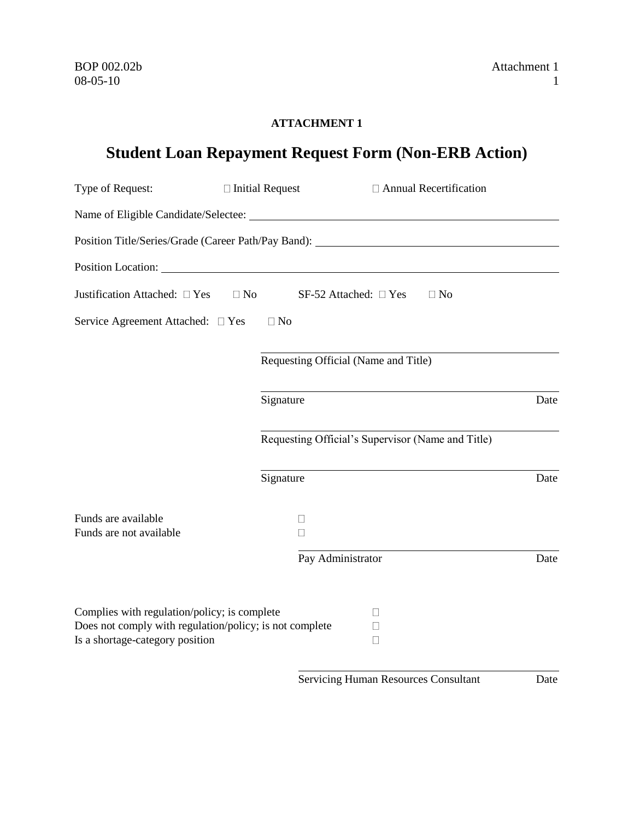# **ATTACHMENT 1**

# **Student Loan Repayment Request Form (Non-ERB Action)**

| Type of Request:                                                                                                                                                                                                              | $\Box$ Initial Request | □ Annual Recertification                                                         |      |
|-------------------------------------------------------------------------------------------------------------------------------------------------------------------------------------------------------------------------------|------------------------|----------------------------------------------------------------------------------|------|
|                                                                                                                                                                                                                               |                        |                                                                                  |      |
|                                                                                                                                                                                                                               |                        | Position Title/Series/Grade (Career Path/Pay Band): ____________________________ |      |
| Position Location: University of the Contract of the Contract of the Contract of the Contract of the Contract of the Contract of the Contract of the Contract of the Contract of the Contract of the Contract of the Contract |                        |                                                                                  |      |
| Justification Attached: □ Yes □ No                                                                                                                                                                                            |                        | SF-52 Attached: $\Box$ Yes $\Box$ No                                             |      |
| Service Agreement Attached: □ Yes                                                                                                                                                                                             | $\Box$ No              |                                                                                  |      |
|                                                                                                                                                                                                                               |                        | Requesting Official (Name and Title)                                             |      |
|                                                                                                                                                                                                                               | Signature              |                                                                                  | Date |
|                                                                                                                                                                                                                               |                        | Requesting Official's Supervisor (Name and Title)                                |      |
|                                                                                                                                                                                                                               | Signature              |                                                                                  | Date |
| Funds are available<br>Funds are not available                                                                                                                                                                                | $\mathbf{L}$<br>П      |                                                                                  |      |
|                                                                                                                                                                                                                               |                        | Pay Administrator                                                                | Date |
| Complies with regulation/policy; is complete<br>Does not comply with regulation/policy; is not complete<br>Is a shortage-category position                                                                                    |                        | $\mathbf{L}$<br>$\mathbf{1}$<br>П                                                |      |

**Servicing Human Resources Consultant Date**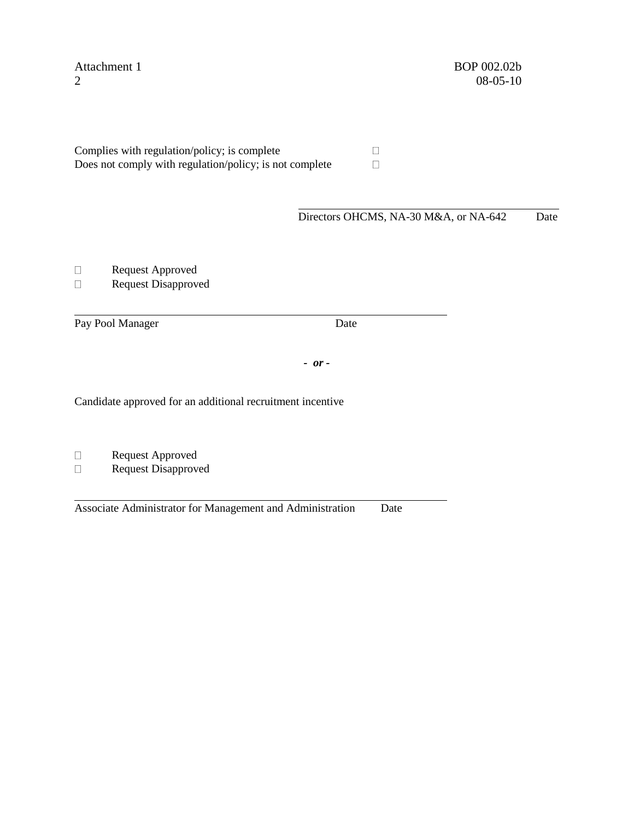Attachment 1 BOP 002.02b

| Complies with regulation/policy; is complete            |  |
|---------------------------------------------------------|--|
| Does not comply with regulation/policy; is not complete |  |

Directors OHCMS, NA-30 M&A, or NA-642 Date

Request Approved  $\Box$ 

Request Disapproved  $\Box$ 

Pay Pool Manager Date

*- or -*

Candidate approved for an additional recruitment incentive

Request Approved  $\Box$ 

Request Disapproved  $\Box$ 

Associate Administrator for Management and Administration Date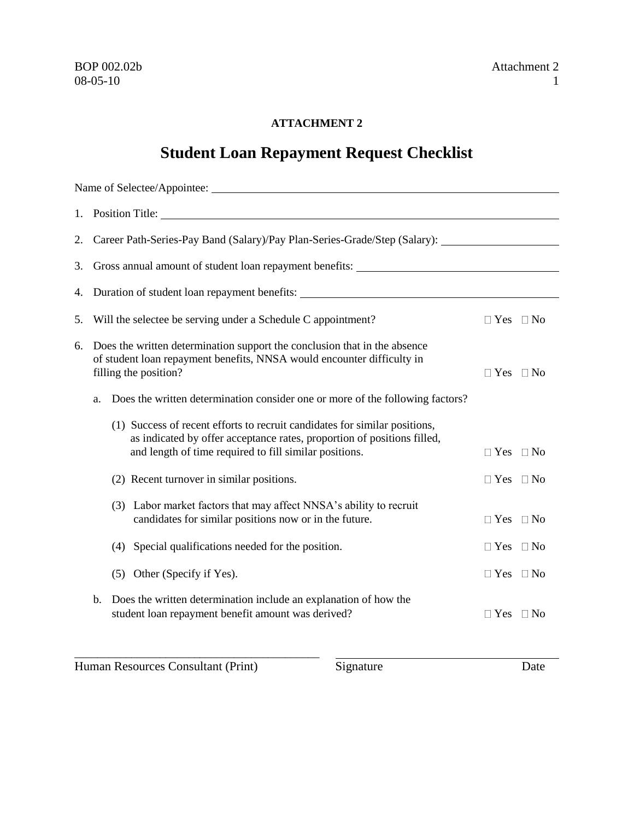# **ATTACHMENT 2**

# **Student Loan Repayment Request Checklist**

|    | 1. Position Title:                                                                                                                                                                                              |                      |  |  |  |
|----|-----------------------------------------------------------------------------------------------------------------------------------------------------------------------------------------------------------------|----------------------|--|--|--|
| 2. | Career Path-Series-Pay Band (Salary)/Pay Plan-Series-Grade/Step (Salary): __________________________                                                                                                            |                      |  |  |  |
| 3. | Gross annual amount of student loan repayment benefits: _________________________                                                                                                                               |                      |  |  |  |
| 4. | Duration of student loan repayment benefits: ___________________________________                                                                                                                                |                      |  |  |  |
| 5. | Will the selectee be serving under a Schedule C appointment?                                                                                                                                                    | $\Box$ Yes $\Box$ No |  |  |  |
| 6. | Does the written determination support the conclusion that in the absence<br>of student loan repayment benefits, NNSA would encounter difficulty in<br>filling the position?                                    | $\Box$ Yes $\Box$ No |  |  |  |
|    | Does the written determination consider one or more of the following factors?<br>a.                                                                                                                             |                      |  |  |  |
|    | (1) Success of recent efforts to recruit candidates for similar positions,<br>as indicated by offer acceptance rates, proportion of positions filled,<br>and length of time required to fill similar positions. | $\Box$ Yes $\Box$ No |  |  |  |
|    | (2) Recent turnover in similar positions.                                                                                                                                                                       | $\Box$ Yes $\Box$ No |  |  |  |
|    | (3) Labor market factors that may affect NNSA's ability to recruit<br>candidates for similar positions now or in the future.                                                                                    | $\Box$ Yes $\Box$ No |  |  |  |
|    | Special qualifications needed for the position.<br>(4)                                                                                                                                                          | $\Box$ Yes $\Box$ No |  |  |  |
|    | (5) Other (Specify if Yes).                                                                                                                                                                                     | $\Box$ Yes $\Box$ No |  |  |  |
|    | Does the written determination include an explanation of how the<br>b.<br>student loan repayment benefit amount was derived?                                                                                    | $\Box$ Yes $\Box$ No |  |  |  |

Human Resources Consultant (Print) Signature Date

\_\_\_\_\_\_\_\_\_\_\_\_\_\_\_\_\_\_\_\_\_\_\_\_\_\_\_\_\_\_\_\_\_\_\_\_\_\_\_\_\_\_\_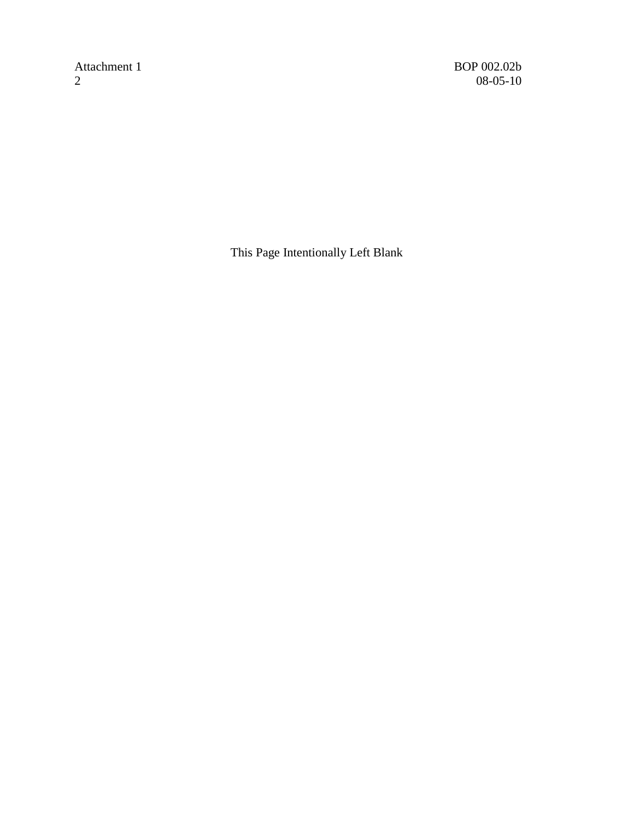This Page Intentionally Left Blank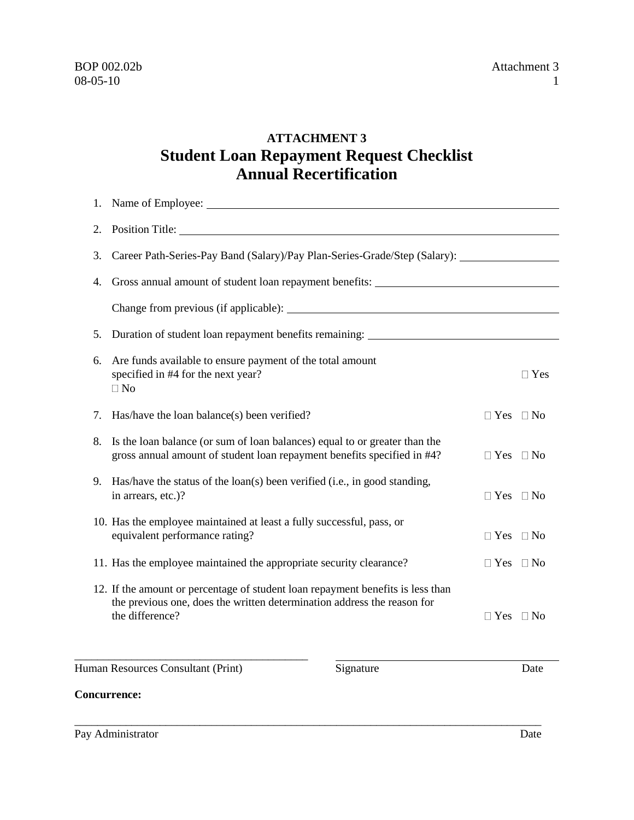# **ATTACHMENT 3 Student Loan Repayment Request Checklist Annual Recertification**

| 2. |                                                                                                                                                                               |           |                      |
|----|-------------------------------------------------------------------------------------------------------------------------------------------------------------------------------|-----------|----------------------|
| 3. | Career Path-Series-Pay Band (Salary)/Pay Plan-Series-Grade/Step (Salary): _________________________                                                                           |           |                      |
| 4. | Gross annual amount of student loan repayment benefits:                                                                                                                       |           |                      |
|    |                                                                                                                                                                               |           |                      |
| 5. | Duration of student loan repayment benefits remaining:                                                                                                                        |           |                      |
| 6. | Are funds available to ensure payment of the total amount<br>specified in #4 for the next year?<br>$\Box$ No                                                                  |           | $\Box$ Yes           |
| 7. | Has/have the loan balance(s) been verified?                                                                                                                                   |           | $\Box$ Yes $\Box$ No |
| 8. | Is the loan balance (or sum of loan balances) equal to or greater than the<br>gross annual amount of student loan repayment benefits specified in #4?                         |           | $\Box$ Yes $\Box$ No |
|    | 9. Has/have the status of the loan(s) been verified (i.e., in good standing,<br>in arrears, etc.)?                                                                            |           | $\Box$ Yes $\Box$ No |
|    | 10. Has the employee maintained at least a fully successful, pass, or<br>equivalent performance rating?                                                                       |           | $\Box$ Yes $\Box$ No |
|    | 11. Has the employee maintained the appropriate security clearance?                                                                                                           |           | $\Box$ Yes $\Box$ No |
|    | 12. If the amount or percentage of student loan repayment benefits is less than<br>the previous one, does the written determination address the reason for<br>the difference? |           | $\Box$ Yes $\Box$ No |
|    | Human Resources Consultant (Print)                                                                                                                                            | Signature | Date                 |

\_\_\_\_\_\_\_\_\_\_\_\_\_\_\_\_\_\_\_\_\_\_\_\_\_\_\_\_\_\_\_\_\_\_\_\_\_\_\_\_\_\_\_\_\_\_\_\_\_\_\_\_\_\_\_\_\_\_\_\_\_\_\_\_\_\_\_\_\_\_\_\_\_\_\_\_\_\_\_\_\_\_

## **Concurrence:**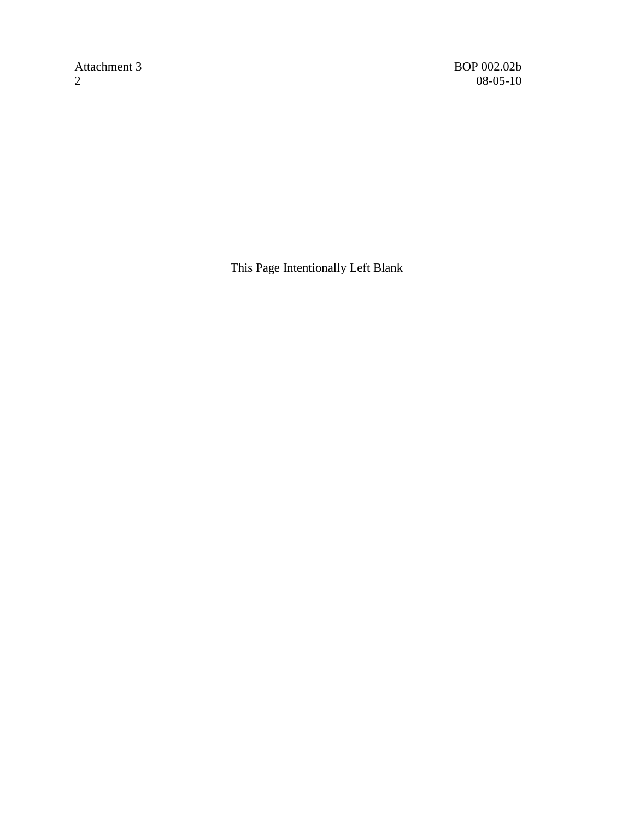This Page Intentionally Left Blank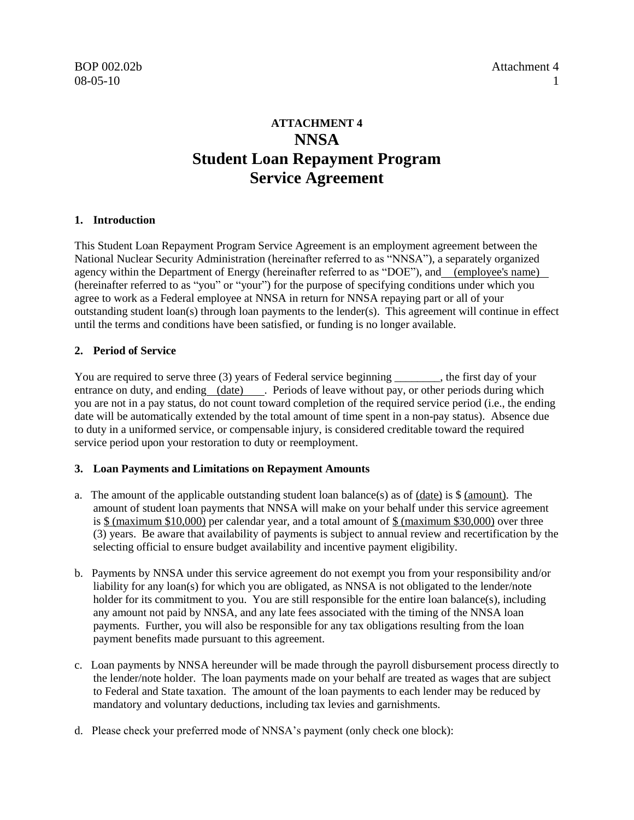# **ATTACHMENT 4 NNSA Student Loan Repayment Program Service Agreement**

#### **1. Introduction**

This Student Loan Repayment Program Service Agreement is an employment agreement between the National Nuclear Security Administration (hereinafter referred to as "NNSA"), a separately organized agency within the Department of Energy (hereinafter referred to as "DOE"), and (employee's name) (hereinafter referred to as "you" or "your") for the purpose of specifying conditions under which you agree to work as a Federal employee at NNSA in return for NNSA repaying part or all of your outstanding student loan(s) through loan payments to the lender(s). This agreement will continue in effect until the terms and conditions have been satisfied, or funding is no longer available.

#### **2. Period of Service**

You are required to serve three (3) years of Federal service beginning \_\_\_\_\_\_\_, the first day of your entrance on duty, and ending (date). Periods of leave without pay, or other periods during which you are not in a pay status, do not count toward completion of the required service period (i.e., the ending date will be automatically extended by the total amount of time spent in a non-pay status). Absence due to duty in a uniformed service, or compensable injury, is considered creditable toward the required service period upon your restoration to duty or reemployment.

#### **3. Loan Payments and Limitations on Repayment Amounts**

- a. The amount of the applicable outstanding student loan balance(s) as of (date) is  $\frac{1}{2}$  (amount). The amount of student loan payments that NNSA will make on your behalf under this service agreement is \$ (maximum \$10,000) per calendar year, and a total amount of \$ (maximum \$30,000) over three (3) years. Be aware that availability of payments is subject to annual review and recertification by the selecting official to ensure budget availability and incentive payment eligibility.
- b. Payments by NNSA under this service agreement do not exempt you from your responsibility and/or liability for any loan(s) for which you are obligated, as NNSA is not obligated to the lender/note holder for its commitment to you. You are still responsible for the entire loan balance(s), including any amount not paid by NNSA, and any late fees associated with the timing of the NNSA loan payments. Further, you will also be responsible for any tax obligations resulting from the loan payment benefits made pursuant to this agreement.
- c. Loan payments by NNSA hereunder will be made through the payroll disbursement process directly to the lender/note holder. The loan payments made on your behalf are treated as wages that are subject to Federal and State taxation. The amount of the loan payments to each lender may be reduced by mandatory and voluntary deductions, including tax levies and garnishments.
- d. Please check your preferred mode of NNSA's payment (only check one block):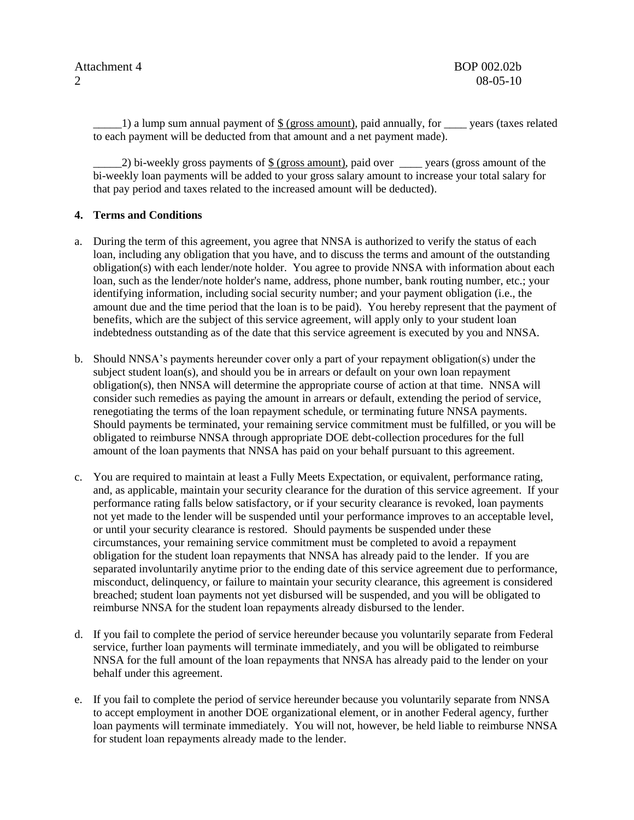Attachment 4 BOP 002.02b

1) a lump sum annual payment of  $\frac{1}{2}$  (gross amount), paid annually, for \_\_\_\_ years (taxes related to each payment will be deducted from that amount and a net payment made).

 $(2)$  bi-weekly gross payments of  $\frac{1}{2}$  (gross amount), paid over \_\_\_\_ years (gross amount of the bi-weekly loan payments will be added to your gross salary amount to increase your total salary for that pay period and taxes related to the increased amount will be deducted).

#### **4. Terms and Conditions**

- a. During the term of this agreement, you agree that NNSA is authorized to verify the status of each loan, including any obligation that you have, and to discuss the terms and amount of the outstanding obligation(s) with each lender/note holder. You agree to provide NNSA with information about each loan, such as the lender/note holder's name, address, phone number, bank routing number, etc.; your identifying information, including social security number; and your payment obligation (i.e., the amount due and the time period that the loan is to be paid). You hereby represent that the payment of benefits, which are the subject of this service agreement, will apply only to your student loan indebtedness outstanding as of the date that this service agreement is executed by you and NNSA.
- b. Should NNSA's payments hereunder cover only a part of your repayment obligation(s) under the subject student loan(s), and should you be in arrears or default on your own loan repayment obligation(s), then NNSA will determine the appropriate course of action at that time. NNSA will consider such remedies as paying the amount in arrears or default, extending the period of service, renegotiating the terms of the loan repayment schedule, or terminating future NNSA payments. Should payments be terminated, your remaining service commitment must be fulfilled, or you will be obligated to reimburse NNSA through appropriate DOE debt-collection procedures for the full amount of the loan payments that NNSA has paid on your behalf pursuant to this agreement.
- c. You are required to maintain at least a Fully Meets Expectation, or equivalent, performance rating, and, as applicable, maintain your security clearance for the duration of this service agreement. If your performance rating falls below satisfactory, or if your security clearance is revoked, loan payments not yet made to the lender will be suspended until your performance improves to an acceptable level, or until your security clearance is restored. Should payments be suspended under these circumstances, your remaining service commitment must be completed to avoid a repayment obligation for the student loan repayments that NNSA has already paid to the lender. If you are separated involuntarily anytime prior to the ending date of this service agreement due to performance, misconduct, delinquency, or failure to maintain your security clearance, this agreement is considered breached; student loan payments not yet disbursed will be suspended, and you will be obligated to reimburse NNSA for the student loan repayments already disbursed to the lender.
- d. If you fail to complete the period of service hereunder because you voluntarily separate from Federal service, further loan payments will terminate immediately, and you will be obligated to reimburse NNSA for the full amount of the loan repayments that NNSA has already paid to the lender on your behalf under this agreement.
- e. If you fail to complete the period of service hereunder because you voluntarily separate from NNSA to accept employment in another DOE organizational element, or in another Federal agency, further loan payments will terminate immediately. You will not, however, be held liable to reimburse NNSA for student loan repayments already made to the lender.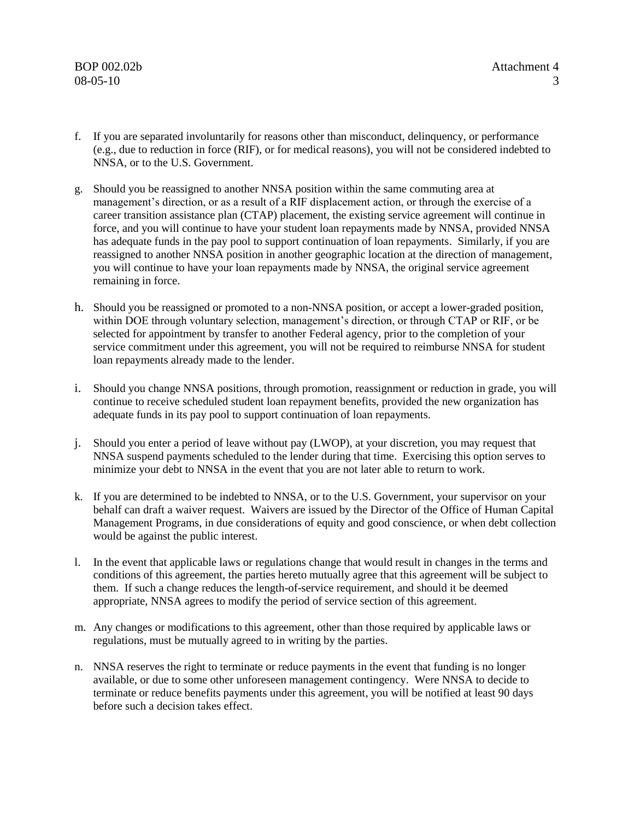### BOP 002.02b Attachment 4 08-05-10 3

- f. If you are separated involuntarily for reasons other than misconduct, delinquency, or performance (e.g., due to reduction in force (RIF), or for medical reasons), you will not be considered indebted to NNSA, or to the U.S. Government.
- g. Should you be reassigned to another NNSA position within the same commuting area at management's direction, or as a result of a RIF displacement action, or through the exercise of a career transition assistance plan (CTAP) placement, the existing service agreement will continue in force, and you will continue to have your student loan repayments made by NNSA, provided NNSA has adequate funds in the pay pool to support continuation of loan repayments. Similarly, if you are reassigned to another NNSA position in another geographic location at the direction of management, you will continue to have your loan repayments made by NNSA, the original service agreement remaining in force.
- h. Should you be reassigned or promoted to a non-NNSA position, or accept a lower-graded position, within DOE through voluntary selection, management's direction, or through CTAP or RIF, or be selected for appointment by transfer to another Federal agency, prior to the completion of your service commitment under this agreement, you will not be required to reimburse NNSA for student loan repayments already made to the lender.
- i. Should you change NNSA positions, through promotion, reassignment or reduction in grade, you will continue to receive scheduled student loan repayment benefits, provided the new organization has adequate funds in its pay pool to support continuation of loan repayments.
- j. Should you enter a period of leave without pay (LWOP), at your discretion, you may request that NNSA suspend payments scheduled to the lender during that time. Exercising this option serves to minimize your debt to NNSA in the event that you are not later able to return to work.
- k. If you are determined to be indebted to NNSA, or to the U.S. Government, your supervisor on your behalf can draft a waiver request. Waivers are issued by the Director of the Office of Human Capital Management Programs, in due considerations of equity and good conscience, or when debt collection would be against the public interest.
- l. In the event that applicable laws or regulations change that would result in changes in the terms and conditions of this agreement, the parties hereto mutually agree that this agreement will be subject to them. If such a change reduces the length-of-service requirement, and should it be deemed appropriate, NNSA agrees to modify the period of service section of this agreement.
- m. Any changes or modifications to this agreement, other than those required by applicable laws or regulations, must be mutually agreed to in writing by the parties.
- n. NNSA reserves the right to terminate or reduce payments in the event that funding is no longer available, or due to some other unforeseen management contingency. Were NNSA to decide to terminate or reduce benefits payments under this agreement, you will be notified at least 90 days before such a decision takes effect.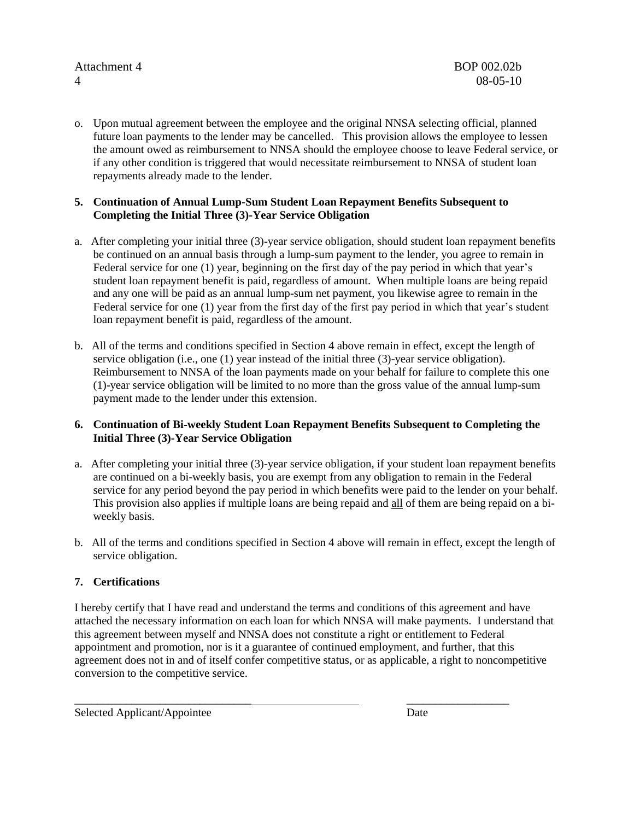# Attachment 4 BOP 002.02b

o. Upon mutual agreement between the employee and the original NNSA selecting official, planned future loan payments to the lender may be cancelled. This provision allows the employee to lessen the amount owed as reimbursement to NNSA should the employee choose to leave Federal service, or if any other condition is triggered that would necessitate reimbursement to NNSA of student loan repayments already made to the lender.

#### **5. Continuation of Annual Lump-Sum Student Loan Repayment Benefits Subsequent to Completing the Initial Three (3)-Year Service Obligation**

- a. After completing your initial three (3)-year service obligation, should student loan repayment benefits be continued on an annual basis through a lump-sum payment to the lender, you agree to remain in Federal service for one (1) year, beginning on the first day of the pay period in which that year's student loan repayment benefit is paid, regardless of amount. When multiple loans are being repaid and any one will be paid as an annual lump-sum net payment, you likewise agree to remain in the Federal service for one (1) year from the first day of the first pay period in which that year's student loan repayment benefit is paid, regardless of the amount.
- b. All of the terms and conditions specified in Section 4 above remain in effect, except the length of service obligation (i.e., one (1) year instead of the initial three (3)-year service obligation). Reimbursement to NNSA of the loan payments made on your behalf for failure to complete this one (1)-year service obligation will be limited to no more than the gross value of the annual lump-sum payment made to the lender under this extension.

### **6. Continuation of Bi-weekly Student Loan Repayment Benefits Subsequent to Completing the Initial Three (3)-Year Service Obligation**

- a. After completing your initial three (3)-year service obligation, if your student loan repayment benefits are continued on a bi-weekly basis, you are exempt from any obligation to remain in the Federal service for any period beyond the pay period in which benefits were paid to the lender on your behalf. This provision also applies if multiple loans are being repaid and all of them are being repaid on a biweekly basis.
- b. All of the terms and conditions specified in Section 4 above will remain in effect, except the length of service obligation.

## **7. Certifications**

I hereby certify that I have read and understand the terms and conditions of this agreement and have attached the necessary information on each loan for which NNSA will make payments. I understand that this agreement between myself and NNSA does not constitute a right or entitlement to Federal appointment and promotion, nor is it a guarantee of continued employment, and further, that this agreement does not in and of itself confer competitive status, or as applicable, a right to noncompetitive conversion to the competitive service.

\_\_\_\_\_\_\_\_\_\_\_\_\_\_\_\_\_\_\_\_\_\_\_\_\_\_\_\_\_\_\_ \_\_\_\_\_\_\_\_\_\_\_\_\_\_\_\_\_\_

Selected Applicant/Appointee Date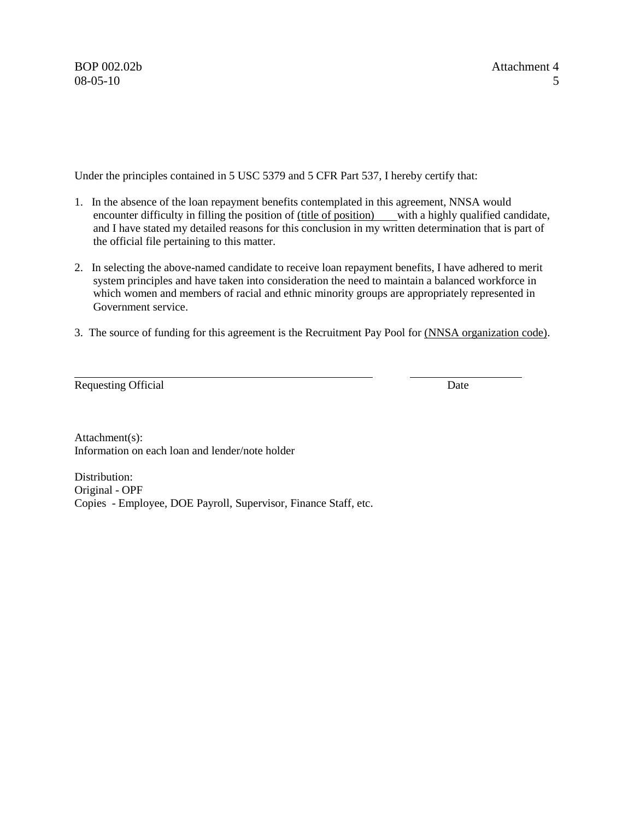Under the principles contained in 5 USC 5379 and 5 CFR Part 537, I hereby certify that:

- 1. In the absence of the loan repayment benefits contemplated in this agreement, NNSA would encounter difficulty in filling the position of (title of position) with a highly qualified candidate, and I have stated my detailed reasons for this conclusion in my written determination that is part of the official file pertaining to this matter.
- 2. In selecting the above-named candidate to receive loan repayment benefits, I have adhered to merit system principles and have taken into consideration the need to maintain a balanced workforce in which women and members of racial and ethnic minority groups are appropriately represented in Government service.
- 3. The source of funding for this agreement is the Recruitment Pay Pool for (NNSA organization code).

Requesting Official Date

Attachment(s): Information on each loan and lender/note holder

Distribution: Original - OPF Copies - Employee, DOE Payroll, Supervisor, Finance Staff, etc.